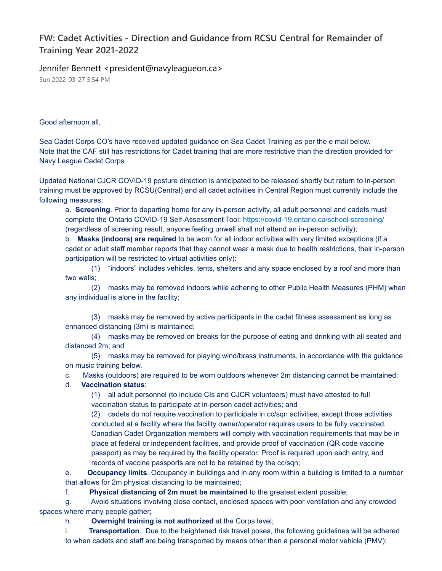## **FW: Cadet Activities - Direction and Guidance from RCSU Central for Remainder of Training Year 2021-2022**

Jennifer Bennett <president@navyleagueon.ca>

Sun 2022-03-27 5:54 PM

Good afternoon all,

Sea Cadet Corps CO's have received updated guidance on Sea Cadet Training as per the e mail below. Note that the CAF still has restrictions for Cadet training that are more restrictive than the direction provided for Navy League Cadet Corps.

Updated National CJCR COVID-19 posture direction is anticipated to be released shortly but return to in-person training must be approved by RCSU(Central) and all cadet activities in Central Region must currently include the following measures:

a. **Screening**. Prior to departing home for any in-person activity, all adult personnel and cadets must complete the Ontario COVID-19 Self-Assessment Tool: <https://covid-19.ontario.ca/school-screening/> (regardless of screening result, anyone feeling unwell shall not attend an in-person activity);

b. **Masks (indoors) are required** to be worn for all indoor activities with very limited exceptions (if a cadet or adult staff member reports that they cannot wear a mask due to health restrictions, their in-person participation will be restricted to virtual activities only):

(1) "indoors" includes vehicles, tents, shelters and any space enclosed by a roof and more than two walls;

(2) masks may be removed indoors while adhering to other Public Health Measures (PHM) when any individual is alone in the facility;

(3) masks may be removed by active participants in the cadet fitness assessment as long as enhanced distancing (3m) is maintained;

(4) masks may be removed on breaks for the purpose of eating and drinking with all seated and distanced 2m; and

(5) masks may be removed for playing wind/brass instruments, in accordance with the guidance on music training below.

c. Masks (outdoors) are required to be worn outdoors whenever 2m distancing cannot be maintained;

## d. **Vaccination status**:

(1) all adult personnel (to include CIs and CJCR volunteers) must have attested to full vaccination status to participate at in-person cadet activities; and

(2) cadets do not require vaccination to participate in cc/sqn activities, except those activities conducted at a facility where the facility owner/operator requires users to be fully vaccinated. Canadian Cadet Organization members will comply with vaccination requirements that may be in place at federal or independent facilities, and provide proof of vaccination (QR code vaccine passport) as may be required by the facility operator. Proof is required upon each entry, and records of vaccine passports are not to be retained by the cc/sqn;

e. **Occupancy limits**. Occupancy in buildings and in any room within a building is limited to a number that allows for 2m physical distancing to be maintained;

f. **Physical distancing of 2m must be maintained** to the greatest extent possible;

g. Avoid situations involving close contact, enclosed spaces with poor ventilation and any crowded spaces where many people gather;

h. **Overnight training is not authorized** at the Corps level;

i. **Transportation**. Due to the heightened risk travel poses, the following guidelines will be adhered to when cadets and staff are being transported by means other than a personal motor vehicle (PMV):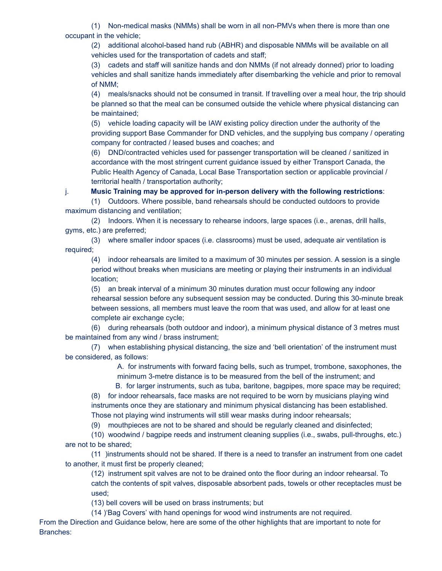(1) Non-medical masks (NMMs) shall be worn in all non-PMVs when there is more than one occupant in the vehicle;

(2) additional alcohol-based hand rub (ABHR) and disposable NMMs will be available on all vehicles used for the transportation of cadets and staff;

(3) cadets and staff will sanitize hands and don NMMs (if not already donned) prior to loading vehicles and shall sanitize hands immediately after disembarking the vehicle and prior to removal of NMM;

(4) meals/snacks should not be consumed in transit. If travelling over a meal hour, the trip should be planned so that the meal can be consumed outside the vehicle where physical distancing can be maintained;

(5) vehicle loading capacity will be IAW existing policy direction under the authority of the providing support Base Commander for DND vehicles, and the supplying bus company / operating company for contracted / leased buses and coaches; and

(6) DND/contracted vehicles used for passenger transportation will be cleaned / sanitized in accordance with the most stringent current guidance issued by either Transport Canada, the Public Health Agency of Canada, Local Base Transportation section or applicable provincial / territorial health / transportation authority;

j. **Music Training may be approved for in-person delivery with the following restrictions**:

(1) Outdoors. Where possible, band rehearsals should be conducted outdoors to provide maximum distancing and ventilation;

(2) Indoors. When it is necessary to rehearse indoors, large spaces (i.e., arenas, drill halls, gyms, etc.) are preferred;

(3) where smaller indoor spaces (i.e. classrooms) must be used, adequate air ventilation is required;

(4) indoor rehearsals are limited to a maximum of 30 minutes per session. A session is a single period without breaks when musicians are meeting or playing their instruments in an individual location;

(5) an break interval of a minimum 30 minutes duration must occur following any indoor rehearsal session before any subsequent session may be conducted. During this 30-minute break between sessions, all members must leave the room that was used, and allow for at least one complete air exchange cycle;

(6) during rehearsals (both outdoor and indoor), a minimum physical distance of 3 metres must be maintained from any wind / brass instrument;

(7) when establishing physical distancing, the size and 'bell orientation' of the instrument must be considered, as follows:

> A. for instruments with forward facing bells, such as trumpet, trombone, saxophones, the minimum 3-metre distance is to be measured from the bell of the instrument; and

> B. for larger instruments, such as tuba, baritone, bagpipes, more space may be required;

(8) for indoor rehearsals, face masks are not required to be worn by musicians playing wind instruments once they are stationary and minimum physical distancing has been established. Those not playing wind instruments will still wear masks during indoor rehearsals;

(9) mouthpieces are not to be shared and should be regularly cleaned and disinfected;

(10) woodwind / bagpipe reeds and instrument cleaning supplies (i.e., swabs, pull-throughs, etc.) are not to be shared;

(11 )instruments should not be shared. If there is a need to transfer an instrument from one cadet to another, it must first be properly cleaned;

(12) instrument spit valves are not to be drained onto the floor during an indoor rehearsal. To catch the contents of spit valves, disposable absorbent pads, towels or other receptacles must be used;

(13) bell covers will be used on brass instruments; but

(14 )'Bag Covers' with hand openings for wood wind instruments are not required.

From the Direction and Guidance below, here are some of the other highlights that are important to note for Branches: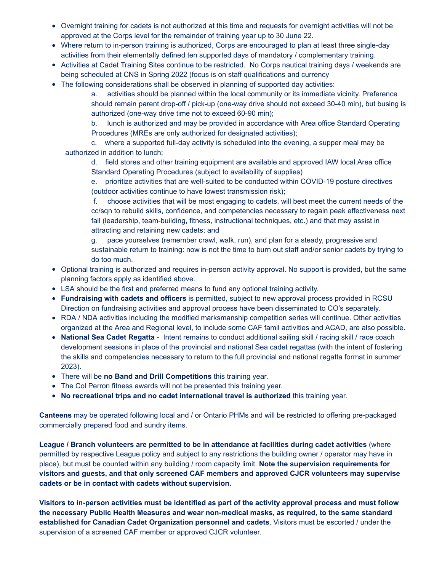- Overnight training for cadets is not authorized at this time and requests for overnight activities will not be approved at the Corps level for the remainder of training year up to 30 June 22.
- Where return to in-person training is authorized, Corps are encouraged to plan at least three single-day activities from their elementally defined ten supported days of mandatory / complementary training.
- Activities at Cadet Training Sites continue to be restricted. No Corps nautical training days / weekends are being scheduled at CNS in Spring 2022 (focus is on staff qualifications and currency
- The following considerations shall be observed in planning of supported day activities:

a. activities should be planned within the local community or its immediate vicinity. Preference should remain parent drop-off / pick-up (one-way drive should not exceed 30-40 min), but busing is authorized (one-way drive time not to exceed 60-90 min);

b. lunch is authorized and may be provided in accordance with Area office Standard Operating Procedures (MREs are only authorized for designated activities);

c. where a supported full-day activity is scheduled into the evening, a supper meal may be authorized in addition to lunch;

d. field stores and other training equipment are available and approved IAW local Area office Standard Operating Procedures (subject to availability of supplies)

e. prioritize activities that are well-suited to be conducted within COVID-19 posture directives (outdoor activities continue to have lowest transmission risk);

f. choose activities that will be most engaging to cadets, will best meet the current needs of the cc/sqn to rebuild skills, confidence, and competencies necessary to regain peak effectiveness next fall (leadership, team-building, fitness, instructional techniques, etc.) and that may assist in attracting and retaining new cadets; and

g. pace yourselves (remember crawl, walk, run), and plan for a steady, progressive and sustainable return to training: now is not the time to burn out staff and/or senior cadets by trying to do too much.

- Optional training is authorized and requires in-person activity approval. No support is provided, but the same planning factors apply as identified above.
- LSA should be the first and preferred means to fund any optional training activity.
- **Fundraising with cadets and officers** is permitted, subject to new approval process provided in RCSU Direction on fundraising activities and approval process have been disseminated to CO's separately.
- RDA / NDA activities including the modified marksmanship competition series will continue. Other activities organized at the Area and Regional level, to include some CAF famil activities and ACAD, are also possible.
- **National Sea Cadet Regatta** Intent remains to conduct additional sailing skill / racing skill / race coach development sessions in place of the provincial and national Sea cadet regattas (with the intent of fostering the skills and competencies necessary to return to the full provincial and national regatta format in summer 2023).
- There will be **no Band and Drill Competitions** this training year.
- The Col Perron fitness awards will not be presented this training year.
- **No recreational trips and no cadet international travel is authorized** this training year.

**Canteens** may be operated following local and / or Ontario PHMs and will be restricted to offering pre-packaged commercially prepared food and sundry items.

**League / Branch volunteers are permitted to be in attendance at facilities during cadet activities** (where permitted by respective League policy and subject to any restrictions the building owner / operator may have in place), but must be counted within any building / room capacity limit. **Note the supervision requirements for visitors and guests, and that only screened CAF members and approved CJCR volunteers may supervise cadets or be in contact with cadets without supervision.**

Visitors to in-person activities must be identified as part of the activity approval process and must follow **the necessary Public Health Measure***s* **and wear non-medical masks, as required, to the same standard established for Canadian Cadet Organization personnel and cadets**. Visitors must be escorted / under the supervision of a screened CAF member or approved CJCR volunteer.